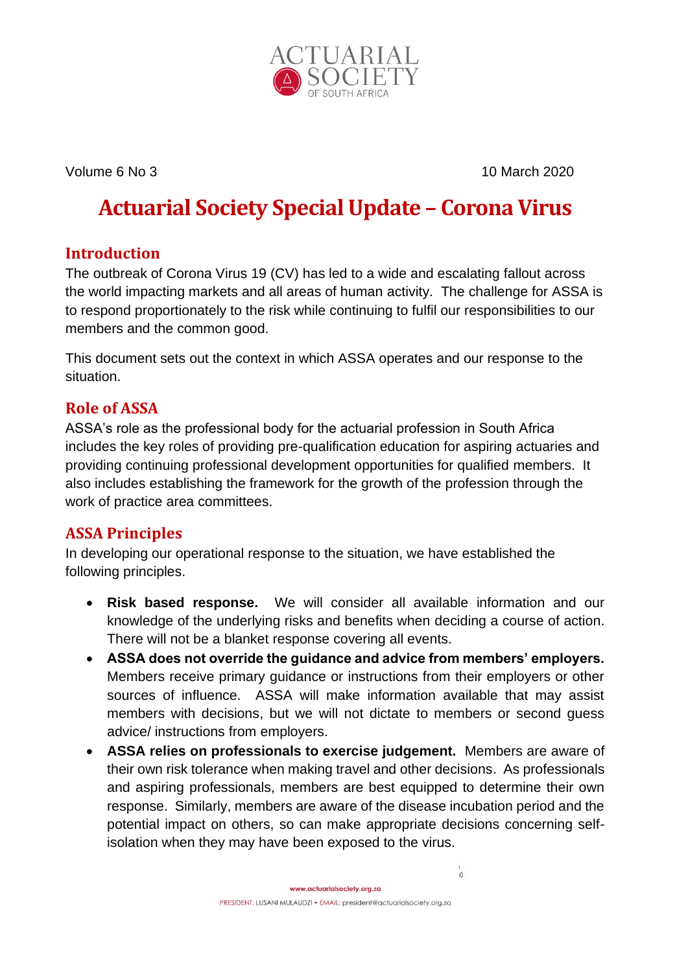

Volume 6 No 3 10 March 2020

# **Actuarial Society Special Update – Corona Virus**

## **Introduction**

The outbreak of Corona Virus 19 (CV) has led to a wide and escalating fallout across the world impacting markets and all areas of human activity. The challenge for ASSA is to respond proportionately to the risk while continuing to fulfil our responsibilities to our members and the common good.

This document sets out the context in which ASSA operates and our response to the situation.

## **Role of ASSA**

ASSA's role as the professional body for the actuarial profession in South Africa includes the key roles of providing pre-qualification education for aspiring actuaries and providing continuing professional development opportunities for qualified members. It also includes establishing the framework for the growth of the profession through the work of practice area committees.

# **ASSA Principles**

In developing our operational response to the situation, we have established the following principles.

- **Risk based response.** We will consider all available information and our knowledge of the underlying risks and benefits when deciding a course of action. There will not be a blanket response covering all events.
- **ASSA does not override the guidance and advice from members' employers.**  Members receive primary guidance or instructions from their employers or other sources of influence. ASSA will make information available that may assist members with decisions, but we will not dictate to members or second guess advice/ instructions from employers.
- **ASSA relies on professionals to exercise judgement.** Members are aware of their own risk tolerance when making travel and other decisions. As professionals and aspiring professionals, members are best equipped to determine their own response. Similarly, members are aware of the disease incubation period and the potential impact on others, so can make appropriate decisions concerning selfisolation when they may have been exposed to the virus.

 $\circ$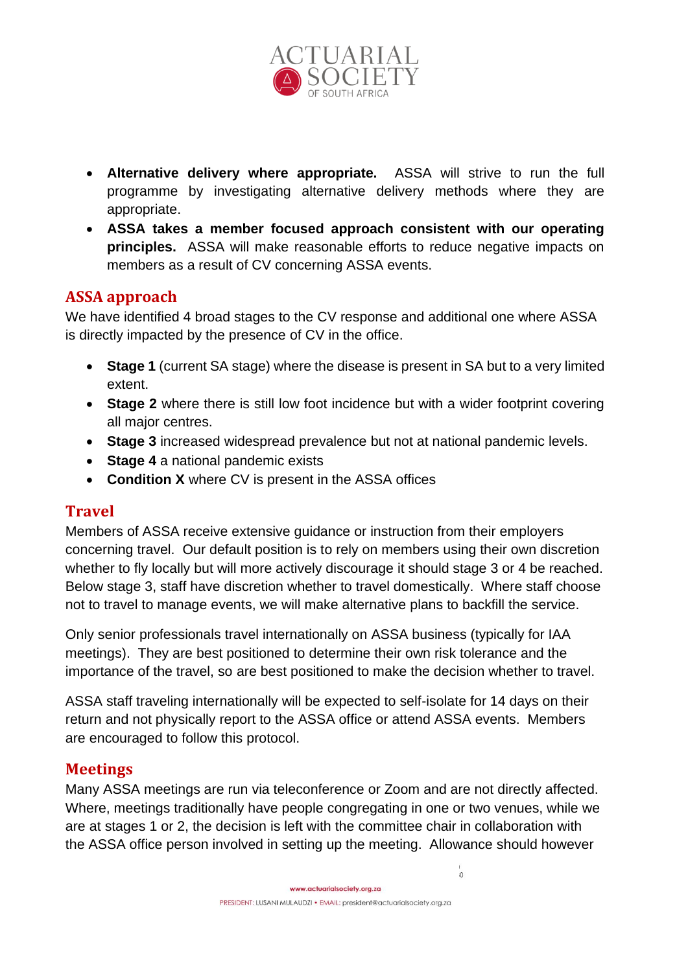

- **Alternative delivery where appropriate.** ASSA will strive to run the full programme by investigating alternative delivery methods where they are appropriate.
- **ASSA takes a member focused approach consistent with our operating principles.** ASSA will make reasonable efforts to reduce negative impacts on members as a result of CV concerning ASSA events.

#### **ASSA approach**

We have identified 4 broad stages to the CV response and additional one where ASSA is directly impacted by the presence of CV in the office.

- **Stage 1** (current SA stage) where the disease is present in SA but to a very limited extent.
- **Stage 2** where there is still low foot incidence but with a wider footprint covering all major centres.
- **Stage 3** increased widespread prevalence but not at national pandemic levels.
- **Stage 4** a national pandemic exists
- **Condition X** where CV is present in the ASSA offices

#### **Travel**

Members of ASSA receive extensive guidance or instruction from their employers concerning travel. Our default position is to rely on members using their own discretion whether to fly locally but will more actively discourage it should stage 3 or 4 be reached. Below stage 3, staff have discretion whether to travel domestically. Where staff choose not to travel to manage events, we will make alternative plans to backfill the service.

Only senior professionals travel internationally on ASSA business (typically for IAA meetings). They are best positioned to determine their own risk tolerance and the importance of the travel, so are best positioned to make the decision whether to travel.

ASSA staff traveling internationally will be expected to self-isolate for 14 days on their return and not physically report to the ASSA office or attend ASSA events. Members are encouraged to follow this protocol.

#### **Meetings**

Many ASSA meetings are run via teleconference or Zoom and are not directly affected. Where, meetings traditionally have people congregating in one or two venues, while we are at stages 1 or 2, the decision is left with the committee chair in collaboration with the ASSA office person involved in setting up the meeting. Allowance should however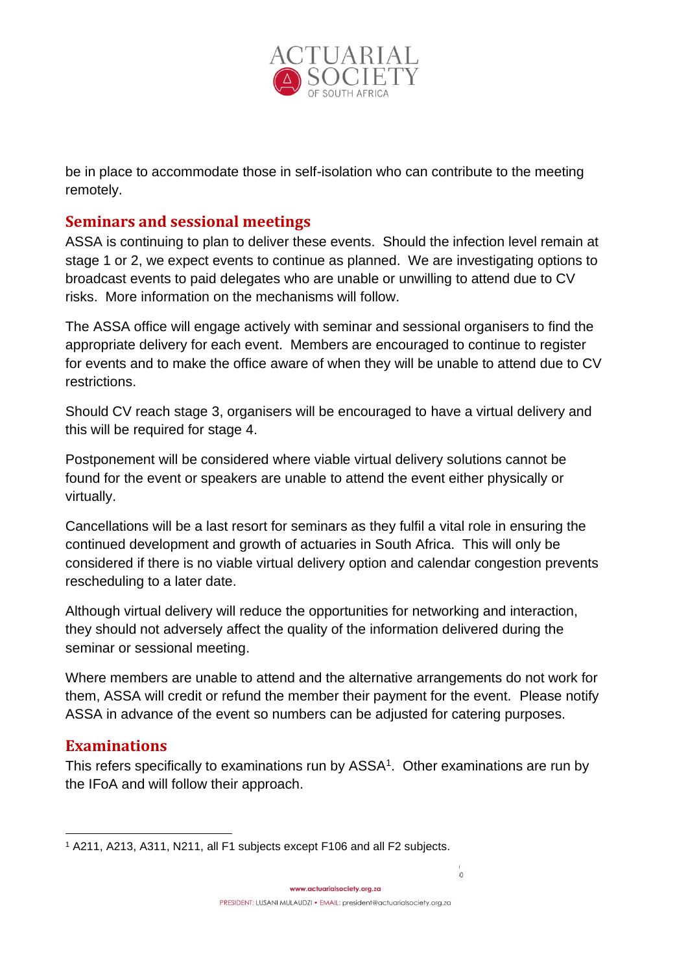

be in place to accommodate those in self-isolation who can contribute to the meeting remotely.

#### **Seminars and sessional meetings**

ASSA is continuing to plan to deliver these events. Should the infection level remain at stage 1 or 2, we expect events to continue as planned. We are investigating options to broadcast events to paid delegates who are unable or unwilling to attend due to CV risks. More information on the mechanisms will follow.

The ASSA office will engage actively with seminar and sessional organisers to find the appropriate delivery for each event. Members are encouraged to continue to register for events and to make the office aware of when they will be unable to attend due to CV restrictions.

Should CV reach stage 3, organisers will be encouraged to have a virtual delivery and this will be required for stage 4.

Postponement will be considered where viable virtual delivery solutions cannot be found for the event or speakers are unable to attend the event either physically or virtually.

Cancellations will be a last resort for seminars as they fulfil a vital role in ensuring the continued development and growth of actuaries in South Africa. This will only be considered if there is no viable virtual delivery option and calendar congestion prevents rescheduling to a later date.

Although virtual delivery will reduce the opportunities for networking and interaction, they should not adversely affect the quality of the information delivered during the seminar or sessional meeting.

Where members are unable to attend and the alternative arrangements do not work for them, ASSA will credit or refund the member their payment for the event. Please notify ASSA in advance of the event so numbers can be adjusted for catering purposes.

#### **Examinations**

This refers specifically to examinations run by ASSA<sup>1</sup>. Other examinations are run by the IFoA and will follow their approach.

<sup>1</sup> A211, A213, A311, N211, all F1 subjects except F106 and all F2 subjects.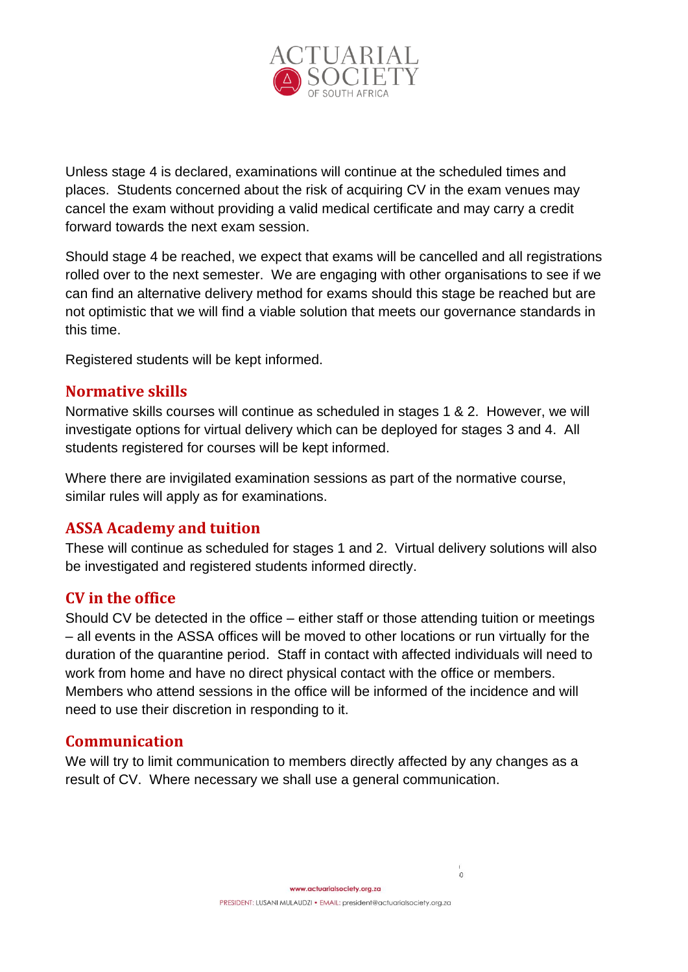

Unless stage 4 is declared, examinations will continue at the scheduled times and places. Students concerned about the risk of acquiring CV in the exam venues may cancel the exam without providing a valid medical certificate and may carry a credit forward towards the next exam session.

Should stage 4 be reached, we expect that exams will be cancelled and all registrations rolled over to the next semester. We are engaging with other organisations to see if we can find an alternative delivery method for exams should this stage be reached but are not optimistic that we will find a viable solution that meets our governance standards in this time.

Registered students will be kept informed.

#### **Normative skills**

Normative skills courses will continue as scheduled in stages 1 & 2. However, we will investigate options for virtual delivery which can be deployed for stages 3 and 4. All students registered for courses will be kept informed.

Where there are invigilated examination sessions as part of the normative course, similar rules will apply as for examinations.

#### **ASSA Academy and tuition**

These will continue as scheduled for stages 1 and 2. Virtual delivery solutions will also be investigated and registered students informed directly.

#### **CV in the office**

Should CV be detected in the office – either staff or those attending tuition or meetings – all events in the ASSA offices will be moved to other locations or run virtually for the duration of the quarantine period. Staff in contact with affected individuals will need to work from home and have no direct physical contact with the office or members. Members who attend sessions in the office will be informed of the incidence and will need to use their discretion in responding to it.

#### **Communication**

We will try to limit communication to members directly affected by any changes as a result of CV. Where necessary we shall use a general communication.